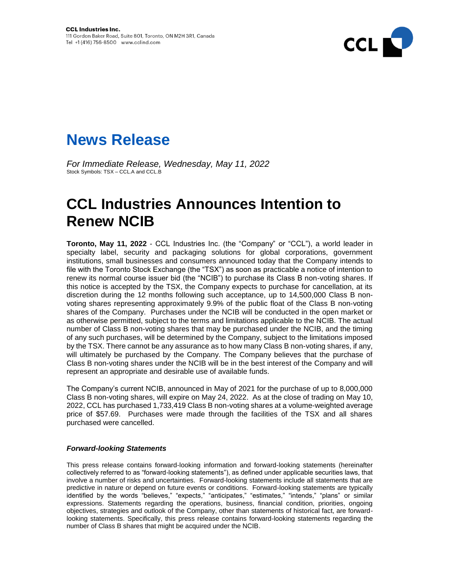

## **News Release**

*For Immediate Release, Wednesday, May 11, 2022* Stock Symbols: TSX – CCL.A and CCL.B

## **CCL Industries Announces Intention to Renew NCIB**

**Toronto, May 11, 2022** - CCL Industries Inc. (the "Company" or "CCL"), a world leader in specialty label, security and packaging solutions for global corporations, government institutions, small businesses and consumers announced today that the Company intends to file with the Toronto Stock Exchange (the "TSX") as soon as practicable a notice of intention to renew its normal course issuer bid (the "NCIB") to purchase its Class B non-voting shares. If this notice is accepted by the TSX, the Company expects to purchase for cancellation, at its discretion during the 12 months following such acceptance, up to 14,500,000 Class B nonvoting shares representing approximately 9.9% of the public float of the Class B non-voting shares of the Company. Purchases under the NCIB will be conducted in the open market or as otherwise permitted, subject to the terms and limitations applicable to the NCIB. The actual number of Class B non-voting shares that may be purchased under the NCIB, and the timing of any such purchases, will be determined by the Company, subject to the limitations imposed by the TSX. There cannot be any assurance as to how many Class B non-voting shares, if any, will ultimately be purchased by the Company. The Company believes that the purchase of Class B non-voting shares under the NCIB will be in the best interest of the Company and will represent an appropriate and desirable use of available funds.

The Company's current NCIB, announced in May of 2021 for the purchase of up to 8,000,000 Class B non-voting shares, will expire on May 24, 2022. As at the close of trading on May 10, 2022, CCL has purchased 1,733,419 Class B non-voting shares at a volume-weighted average price of \$57.69. Purchases were made through the facilities of the TSX and all shares purchased were cancelled.

## *Forward-looking Statements*

This press release contains forward-looking information and forward-looking statements (hereinafter collectively referred to as "forward-looking statements"), as defined under applicable securities laws, that involve a number of risks and uncertainties. Forward-looking statements include all statements that are predictive in nature or depend on future events or conditions. Forward-looking statements are typically identified by the words "believes," "expects," "anticipates," "estimates," "intends," "plans" or similar expressions. Statements regarding the operations, business, financial condition, priorities, ongoing objectives, strategies and outlook of the Company, other than statements of historical fact, are forwardlooking statements. Specifically, this press release contains forward-looking statements regarding the number of Class B shares that might be acquired under the NCIB.